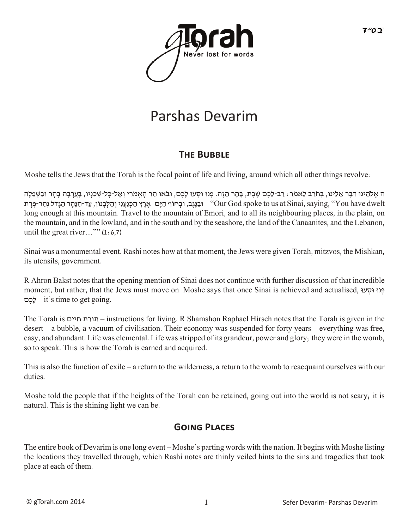

## Parshas Devarim

## **THE BUBBLE**

Moshe tells the Jews that the Torah is the focal point of life and living, around which all other things revolve:

ה אֱלֹהֵינוּ דִּבֶּר אֵלֵינוּ, בְּחֹרֵב לֵאמֹר: רַב-לָכֶם שֶׁבֶת, בָּהָר הַזֶּה. פְּנוּ וּסְעוּ לָכֶם, וּבֹאוּ הַר הָאֱמֹרִי וְאֶל-כָּל-שְׁכֵנָיו, בָּעֲרָבָה בָהָר וּבַשְּׁפֵלָה dwelt have You ",saying ,Sinai at us to spoke God Our – "וּבַ נֶּגֶב, וּבְ חוֹף הַ יָּם–אֶ רֶ ץ הַ כְּ נַעֲנִי וְ הַ לְּ בָ נוֹן, עַ ד-הַ נָּהָ ר הַ גָּדֹל נְהַ ר-פְּ רָ ת long enough at this mountain. Travel to the mountain of Emori, and to all its neighbouring places, in the plain, on the mountain, and in the lowland, and in the south and by the seashore, the land of the Canaanites, and the Lebanon, until the great river..." $(1:6,7)$ 

Sinai was a monumental event. Rashi notes how at that moment, the Jews were given Torah, mitzvos, the Mishkan, its utensils, government.

R Ahron Bakst notes that the opening mention of Sinai does not continue with further discussion of that incredible moment, but rather, that the Jews must move on. Moshe says that once Sinai is achieved and actualised, פּנוּ וּסְעוּ םֶכָל – it's time to get going.

The Torah is חיים תורת – instructions for living. R Shamshon Raphael Hirsch notes that the Torah is given in the desert – a bubble, a vacuum of civilisation. Their economy was suspended for forty years – everything was free, easy, and abundant. Life was elemental. Life was stripped of its grandeur, power and glory; they were in the womb, so to speak. This is how the Torah is earned and acquired.

This is also the function of exile – a return to the wilderness, a return to the womb to reacquaint ourselves with our duties.

Moshe told the people that if the heights of the Torah can be retained, going out into the world is not scary; it is natural. This is the shining light we can be.

## **GOING PLACES**

The entire book of Devarim is one long event – Moshe's parting words with the nation. It begins with Moshe listing the locations they travelled through, which Rashi notes are thinly veiled hints to the sins and tragedies that took place at each of them.